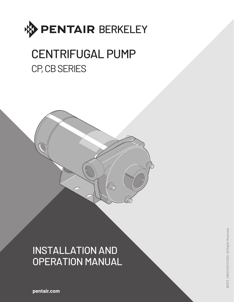

# CENTRIFUGAL PUMP CP, CB SERIES



**B** 

**pentair.com**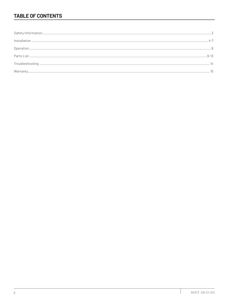# **TABLE OF CONTENTS**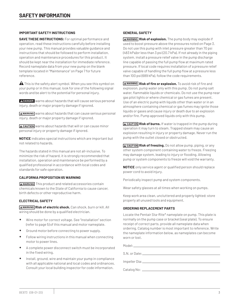#### **IMPORTANT SAFETY INSTRUCTIONS**

**SAVE THESE INSTRUCTIONS:** For optimal performance and operation, read these instructions carefully before installing your new pump. This manual provides valuable guidance and instructions that should be followed to perform installation, operation and maintenance procedures for this product. It should be kept near the installation for immediate reference. Record nameplate data from your new pump on the blank template located in "Maintenance" on Page 7 for future reference.

 $\mathbf A$  This is the safety alert symbol. When you see this symbol on your pump or in this manual, look for one of the following signal words and be alert to the potential for personal injury.

ADANGER warns about hazards that will cause serious personal injury, death or major property damage if ignored.

A wARNING warns about hazards that can cause serious personal injury, death or major property damage if ignored.

A CAUTION warns about hazards that will or can cause minor personal injury or property damage if ignored.

**NOTICE** indicates special instructions which are important but not related to hazards.

The hazards stated in this manual are not all-inclusive. To minimize the risk of hazard, it is strongly recommended that installation, operation and maintenance be performed by a qualified professional in accordance with local codes and standards for safe operation.

#### **CALIFORNIA PROPOSITION 65 WARNING**

**AWARNING** This product and related accessories contain chemicals known to the State of California to cause cancer, birth defects or other reproductive harm.

#### **ELECTRICAL SAFETY**

**AWARNING Risk of electric shock.** Can shock, burn or kill. All wiring should be done by a qualified electrician.

- Wire motor for correct voltage. See "Installation" section (refer to page 5) of this manual and motor nameplate.
- Ground motor before connecting to power supply.
- Follow wiring instructions in this manual when connecting motor to power lines.
- A complete power disconnect switch must be incorporated in the fixed wiring.
- Install, ground, wire and maintain your pump in compliance with all applicable national and local codes and ordinances. Consult your local building inspector for code information.

#### **GENERAL SAFETY**

**AWARNING Risk of explosion.** The pump body may explode if used to boost pressure above the pressures noted on Page 3. Do not use this pump with inlet pressure greater than 70 psi (483 kPa)or less than 3 psi (20.7 kPa). If not already in the piping system, install a pressure relief valve in the pump discharge line capable of passing the full pump flow at maximum rated pressure. If local code requires installation of a pressure relief valve capable of handling the full pump flow at a pressure less than 100 psi (689 kPa), follow the code requirements.

**AWARNING Risk of fire or explosion.** To avoid risk of fire and explosion, pump water only with this pump. Do not pump salt water, flammable liquids or chemicals. Do not use the pump near gas pilot lights or where chemical or gas fumes are present. Use of an electric pump with liquids other than water or in an atmosphere containing chemical or gas fumes may ignite those liquids or gases and cause injury or death due to an explosion and/or fire. Pump approved liquids only with this pump.

**A CAUTION Risk of burns.** If water is trapped in the pump during operation it may turn to steam. Trapped steam may cause an explosion resulting in injury or property damage. Never run the pump with the outlet closed or obstructed.

**A CAUTION Risk of freezing.** Do not allow pump, piping, or any other system component containing water to freeze. Freezing may damage system, leading to injury or flooding. Allowing pump or system components to freeze will void the warranty.

**NOTICE** only service agent or qualified person should replace power cord to avoid injury.

Periodically inspect pump and system components.

Wear safety glasses at all times when working on pumps.

Keep work area clean, uncluttered and properly lighted; store properly all unused tools and equipment.

#### **ORDERING REPLACEMENT PARTS**

Locate the Pentair Sta-Rite\* nameplate on pump. This plate is normally on the pump case or bracket (seal plate). To ensure receipt of correct parts, provide all nameplate data when ordering. Catalog number is most important to reference. Write the nameplate information below, as nameplates can become worn or lost.

Model: S.N. or Date: Impeller Dia: Catalog No: \_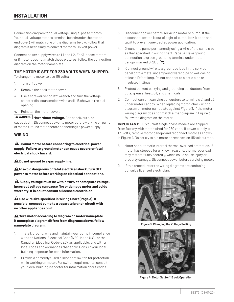Connection diagram for dual voltage, single-phase motors. Your dual-voltage motor's terminal board (under the motor end cover) will match one of the diagrams below. Follow that diagram if necessary to convert motor to 115 Volt power.

Connect power supply wires to L1 and L2. For 3-phase motors, or if motor does not match these pictures, follow the connection diagram on the motor nameplate.

# **THE MOTOR IS SET FOR 230 VOLTS WHEN SHIPPED.**

To change the motor to use 115 volts:

- 1. Turn off power
- 2. Remove the back motor cover.
- 3. Use a screwdriver or 1/2" wrench and turn the voltage selector dial counterclockwise until 115 shows in the dial opening.
- 4. Reinstall the motor cover.

**WARNING Hazardous voltage.** Can shock, burn, or cause death. Disconnect power to motor before working on pump or motor. Ground motor before connecting to power supply.

#### **WIRING**

**Ground motor before connecting to electrical power supply. Failure to ground motor can cause severe or fatal electrical shock hazard.**

 **Do not ground to a gas supply line.**

**A** To avoid dangerous or fatal electrical shock, turn OFF **power to motor before working on electrical connections.**

**A** Supply voltage must be within ±10% of nameplate voltage. **Incorrect voltage can cause fire or damage motor and voids warranty. If in doubt consult a licensed electrician.**

 **Use wire size specified in Wiring Chart (Page 3). If possible, connect pump to a separate branch circuit with no other appliances on it.**

#### **Wire motor according to diagram on motor nameplate. If nameplate diagram differs from diagrams above, follow nameplate diagram.**

- 1. Install, ground, wire and maintain your pump in compliance with the National Electrical Code (NEC) in the U.S., or the Canadian Electrical Code (CEC), as applicable, and with all local codes and ordinances that apply. Consult your local building inspector for code information.
- 2. Provide a correctly fused disconnect switch for protection while working on motor. For switch requirements, consult your local building inspector for information about codes.
- 3. Disconnect power before servicing motor or pump. If the disconnect switch is out of sight of pump, lock it open and tag it to prevent unexpected power application.
- 4. Ground the pump permanently using a wire of the same size as that specified in wiring chart (Page 3). Make ground connection to green grounding terminal under motor canopy marked GRD. or  $\Leftarrow$ .
- 5. Connect ground wire to a grounded lead in the service panel or to a metal underground water pipe or well casing at least 10 feet long. Do not connect to plastic pipe or insulated fittings.
- 6. Protect current carrying and grounding conductors from cuts, grease, heat, oil, and chemicals.
- 7. Connect current carrying conductors to terminals L1 and L2 under motor canopy. When replacing motor, check wiring diagram on motor nameplate against Figure 3. If the motor wiring diagram does not match either diagram in Figure 3, follow the diagram on the motor.

**IMPORTANT:** 115/230 Volt single phase models are shipped from factory with motor wired for 230 volts. If power supply is 115 volts, remove motor canopy and reconnect motor as shown in Figure 4. Do not try to run motor as received on 115 volt current.

- 8. Motor has automatic internal thermal overload protection. If motor has stopped for unknown reasons, thermal overload may restart it unexpectedly, which could cause injury or property damage. Disconnect power before servicing motor.
- 9. If this procedure or the wiring diagrams are confusing, consult a licensed electrician.



**Figure 3: Changing the Voltage Setting**



**Figure 4: Motor Set for 115 Volt Operation**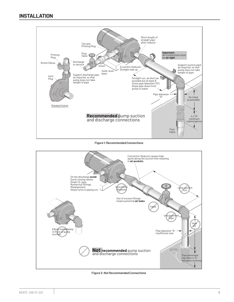

**Figure 1: Recommended Connections**



**Figure 2: Not Recommended Connections**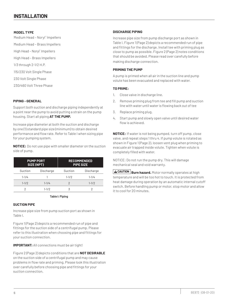#### **MODEL TYPE**

Medium Head - Noryl® Impellers Medium Head – Brass Impellers High Head - Noryl® Impellers High Head – Brass Impellers 1/3 through 2-1/2 H.P. 115/230 Volt Single Phase 230 Volt Single Phase 230/460 Volt Three Phase

#### **PIPING - GENERAL**

Support both suction and discharge piping independently at a point near the pump to avoid putting a strain on the pump housing. Start all piping **AT THE PUMP.**

Increase pipe diameter at both the suction and discharge by one (1) standard pipe size (minimum) to obtain desired performance and flow rate. Refer to Table I when sizing pipe for your pumping system.

**NOTICE:** Do not use pipe with smaller diameter on the suction side of pump.

|           | <b>PUMP PORT</b><br>SIZE (NPT) | <b>RECOMMENDED</b><br><b>PIPE SIZE</b> |           |  |  |
|-----------|--------------------------------|----------------------------------------|-----------|--|--|
| Suction   | Discharge                      | Suction                                | Discharge |  |  |
| $1 - 1/4$ |                                | $1 - 1/2$                              | $1 - 1/4$ |  |  |
| $1 - 1/2$ | $1 - 1/4$                      | 2                                      | $1 - 1/2$ |  |  |
|           | $1 - 1/2$                      | 3                                      |           |  |  |

#### **Table I: Piping**

#### **SUCTION PIPE**

Increase pipe size from pump suction port as shown in Table I.

Figure 1 (Page 2) depicts a recommended run of pipe and fittings for the suction side of a centrifugal pump. Please refer to this illustration when choosing pipe and fittings for your suction connection.

**IMPORTANT:** All connections must be air tight!

Figure 2 (Page 2) depicts conditions that are **NOT DESIRABLE** on the suction side of a centrifugal pump and may cause problems in flow rate and priming. Please look this illustration over carefully before choosing pipe and fittings for your suction connection.

#### **DISCHARGE PIPING**

Increase pipe size from pump discharge port as shown in Table I. Figure 1 (Page 2) depicts a recommended run of pipe and fittings for the discharge. Install tee with priming plug as close to pump as possible. Figure 2 (Page 2) notes conditions that should be avoided. Please read over carefully before making discharge connection.

#### **PRIMING THE PUMP**

A pump is primed when all air in the suction line and pump volute has been evacuated and replaced with water.

#### **TO PRIME:**

- 1. Close valve in discharge line.
- 2. Remove priming plug from tee and fill pump and suction line with water until water is flowing back out of tee
- 3. Replace priming plug.
- 4. Start pump and slowly open valve until desired water flow is achieved.

**NOTICE:** If water is not being pumped, turn off pump, close valve, and repeat steps 1 thru 4. If pump volute is rotated as shown in Figure 1 (Page 2), loosen vent plug when priming to evacuate air trapped inside volute. Tighten when volute is completely filled with water.

NOTICE: Do not run the pump dry. This will damage mechanical seal and void warranty.

**CAUTION Burn hazard.** Motor normally operates at high temperature and will be too hot to touch. It is protected from heat damage during operation by an automatic internal cutoff switch. Before handling pump or motor, stop motor and allow it to cool for 20 minutes.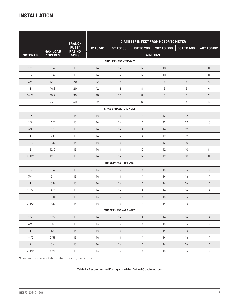|                         |                 | <b>BRANCH</b>                 |                 |                         | DIAMETER IN FEET FROM MOTOR TO METER |                             |                 |                  |  |
|-------------------------|-----------------|-------------------------------|-----------------|-------------------------|--------------------------------------|-----------------------------|-----------------|------------------|--|
|                         | <b>MAX.LOAD</b> | <b>FUSE*</b><br><b>RATING</b> | 0' TO 50'       | 51' TO 100'             |                                      | 101' TO 200'   201' TO 300' | 301' TO 400'    | 401' TO 500'     |  |
| MOTOR HP                | <b>AMPERES</b>  | <b>AMPS</b>                   |                 |                         |                                      | <b>WIRE SIZE</b>            |                 |                  |  |
|                         |                 |                               |                 | SINGLE PHASE - 115 VOLT |                                      |                             |                 |                  |  |
| 1/3                     | 9.4             | 15                            | 14              | 14                      | 12                                   | 10                          | $\, 8$          | $\, 8$           |  |
| 1/2                     | 9.4             | 15                            | 14              | 14                      | 12                                   | 10                          | 8               | 8                |  |
| 3/4                     | 12.2            | 20                            | 12              | 12                      | $10$                                 | 8                           | $6\,$           | $\overline{4}$   |  |
| $\mathbf{1}$            | 14.8            | 20                            | 12              | 12                      | 8                                    | 6                           | 6               | 4                |  |
| $1 - 1/2$               | 19.2            | 30                            | 10 <sup>°</sup> | 10                      | 8                                    | $6\phantom{1}$              | $\overline{4}$  | $\sqrt{2}$       |  |
| $\overline{2}$          | 24.0            | 30                            | 12              | 10                      | 6                                    | 6                           | 4               | 4                |  |
| SINGLE PHASE - 230 VOLT |                 |                               |                 |                         |                                      |                             |                 |                  |  |
| 1/3                     | 4.7             | 15                            | 14              | 14                      | 14                                   | 12                          | 12              | 10 <sup>10</sup> |  |
| 1/2                     | 4.7             | 15                            | 14              | 14                      | 14                                   | 12                          | 12              | 10               |  |
| 3/4                     | 6.1             | 15                            | 14              | 14                      | 14                                   | 14                          | 12              | 10               |  |
| $\mathbf{1}$            | 7.4             | 15                            | 14              | 14                      | 14                                   | 12                          | 12              | 10               |  |
| $1 - 1/2$               | 9.6             | 15                            | 14              | 14                      | 14                                   | 12                          | 10              | 10               |  |
| 2                       | 12.0            | 15                            | 14              | 14                      | 12                                   | 12                          | 10 <sup>°</sup> | 8                |  |
| $2 - 1/2$               | 12.0            | 15                            | 14              | 14                      | 12                                   | 12                          | 10 <sup>°</sup> | $\, 8$           |  |
|                         |                 |                               |                 | THREE PHASE - 230 VOLT  |                                      |                             |                 |                  |  |
| 1/2                     | 2.3             | 15                            | 14              | 14                      | 14                                   | 14                          | 14              | 14               |  |
| 3/4                     | 3.1             | 15                            | 14              | 14                      | 14                                   | 14                          | 14              | 14               |  |
| $\mathbf{1}$            | 3.6             | 15                            | 14              | 14                      | 14                                   | 14                          | 14              | 14               |  |
| $1 - 1/2$               | 4.7             | 15                            | 14              | 14                      | 14                                   | 14                          | 14              | 14               |  |
| $\mathbf{2}$            | 6.8             | 15                            | 14              | 14                      | 14                                   | 14                          | 14              | 12               |  |
| $2 - 1/2$               | 8.5             | 15                            | 14              | 14                      | 14                                   | 14                          | 14              | 12               |  |
|                         |                 |                               |                 | THREE PHASE - 460 VOLT  |                                      |                             |                 |                  |  |
| 1/2                     | 1.15            | 15                            | 14              | 14                      | 14                                   | 14                          | 14              | 14               |  |
| 3/4                     | 1.55            | 15                            | 14              | 14                      | 14                                   | 14                          | 14              | 14               |  |
| $\overline{1}$          | 1.8             | 15                            | 14              | 14                      | 14                                   | 14                          | 14              | 14               |  |
| $1 - 1/2$               | 2.35            | 15                            | 14              | 14                      | 14                                   | 14                          | 14              | 14               |  |
| $2^{\circ}$             | 3.4             | 15                            | 14              | 14                      | 14                                   | 14                          | 14              | 14               |  |
| $2 - 1/2$               | 4.25            | 15                            | 14              | 14                      | 14                                   | 14                          | 14              | 14               |  |

\*A Fusetron is recommended instead of a fuse in any motor circuit.

**Table II - Recommended Fusing and Wiring Data - 60 cycle motors**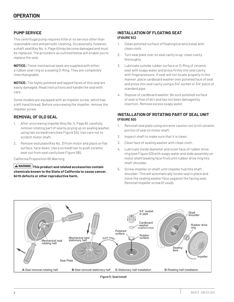# **PUMP SERVICE**

This centrifugal pump requires little or no service other than reasonable care and periodic cleaning. Occasionally, however, a shaft seal (Key No. 4, Page 6) may become damaged and must be replaced. The procedure as outlined below will enable you to replace the seal.

**NOTICE:** These mechanical seals are supplied with either a rubber seat ring or a sealing O-Ring. They are completely interchangeable.

**NOTICE:** The highly polished and lapped faces of this seal are easily damaged. Read instructions and handle the seal with care.

Some models are equipped with an impeller screw, which has a left hand thread. Before unscrewing the impeller, remove the impeller screw.

## **REMOVAL OF OLD SEAL**

- 1. After unscrewing impeller (Key No. 5, Page 6), carefully remove rotating part of seal by prying up on sealing washer, using two screwdrivers (see Figure 5A). Use care not to scratch motor shaft.
- 2. Remove seal plate (Key No. 3) from motor and place on flat surface, face down. Use a screwdriver to push ceramic seat out from seal cavity (see Figure 5B).

California Proposition 65 Warning

**WARNING This product and related accessories contain chemicals known to the State of California to cause cancer, birth defects or other reproductive harm.**

## **INSTALLATION OF FLOATING SEAT (FIGURE 5C)**

- 1. Clean polished surface of floating (ceramic) seat with clean cloth.
- 2. Turn seal plate over so seal cavity is up; clean cavity thoroughly.
- 3. Lubricate outside rubber surface or O-Ring of ceramic seat with soapy water and press firmly into seal cavity with fingerpressure. If seat will not locate properly in this manner, place cardboard washer over polished face of seat and press into seal cavity using a 3/4" socket or 3/4" piece of standard pipe.
- 4. Dispose of cardboard washer. Be sure polished surface of seat is free of dirt and has not been damaged by insertion. Remove excess soapy water.

## **INSTALLATION OF ROTATING PART OF SEAL UNIT (FIGURE 5D)**

- 1. Reinstall seal plate using extreme caution not to hit ceramic portion of seal on motor shaft.
- 2. Inspect shaft to make sure that it is clean.
- 3. Clean face of sealing washer with clean cloth.
- 4. Lubricate inside diameter and outer face of rubber drive ring (see Figure 5D) with soapy water and slide assembly on motor shaft (sealing face first) until rubber drive ring hits shaft shoulder.
- 5. Screw impeller on shaft until impeller hub hits shaft shoulder. This will automatically locate seal in place and move the sealing washer face uagainst the facing seat. Reinstall impeller screw (if used).

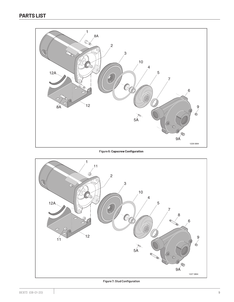

**Figure 6: Capscrew Configuration**



**Figure 7: Stud Configuration**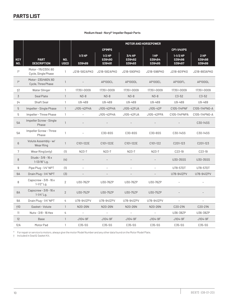| Medium Head - Noryl® Impeller Repair Parts |  |
|--------------------------------------------|--|
|--------------------------------------------|--|

|                          |                                             |                           | <b>MOTOR AND HORSEPOWER</b> |                              |                            |                         |                                |                            |
|--------------------------|---------------------------------------------|---------------------------|-----------------------------|------------------------------|----------------------------|-------------------------|--------------------------------|----------------------------|
|                          |                                             |                           | <b>CP1MPS</b>               |                              |                            |                         | <b>CP1-1/4XPS</b>              |                            |
| <b>KEY</b><br><b>NO.</b> | <b>PART</b><br><b>DESCRIPTION</b>           | <b>NO.</b><br><b>USED</b> | $1/3$ HP<br>S39489          | $1/2$ HP<br>S39490<br>S39491 | 3/4 HP<br>S39492<br>S39493 | 1HP<br>S39494<br>S39495 | $1-1/2$ HP<br>S39496<br>S39497 | $2$ HP<br>S39498<br>S39499 |
| $1*$                     | Motor-115/230V, 60<br>Cycle, Single Phase   | $\mathbf{1}$              | J218-582APKG                | J218-582APKG                 | J218-590PKG                | J218-596PKG             | J218-601PKG                    | J218-883APKG               |
| $1*$                     | Motor-230/460V, 60<br>Cycle, Three Phase    | $\mathbf{1}$              |                             | AP100CL                      | AP100DL                    | AP100EL                 | AP100FL                        | AP100GL                    |
| $+2$                     | Water Slinger                               | $\mathbf{1}$              | 17351-0009                  | 17351-0009                   | 17351-0009                 | 17351-0009              | 17351-0009                     | 17351-0009                 |
| 3                        | Seal Plate                                  | $\mathbf{1}$              | $N3-8$                      | $N3-8$                       | $N3-8$                     | $N3-8$                  | $C3 - 52$                      | $C3-52$                    |
| $+4$                     | <b>Shaft Seal</b>                           | $\mathbf{1}$              | U9-469                      | U9-469                       | U9-469                     | U9-469                  | U9-469                         | U9-469                     |
| 5                        | Impeller - Single Phase                     | $\mathbf{1}$              | J105-42PHA                  | J105-42PHA                   | J105-42PJA                 | J105-42P                | C105-114PNF                    | C105-114PNG-A              |
| 5                        | Impeller - Three Phase                      | $\mathbf{1}$              |                             | J105-42PHA                   | J105-42PJA                 | J105-42PPA              | C105-114PNPA                   | C105-114PNG-A              |
| 5A                       | Impeller Screw - Single<br>Phase            | $\mathbf{1}$              |                             |                              |                            |                         |                                | C30-14SS                   |
| 5А                       | Impeller Screw - Three<br>Phase             | $\mathbf{1}$              |                             | C30-6SS                      | C30-6SS                    | C30-6SS                 | C30-14SS                       | C30-14SS                   |
| $6\,$                    | Volute Assembly - w/<br>Wear Ring           | $\mathbf{1}$              | C101-122E                   | C101-122E                    | C101-122E                  | C101-122                | C201-123                       | C201-123                   |
| 7                        | Wear Ring (only)                            | (1)                       | $N23-7$                     | N23-7                        | N23-7                      | N23-7                   | C23-19                         | C23-19                     |
| 8                        | Studs - $3/8$ - $16x$<br>$1 - 13/16"$ Lg.   | (4)                       |                             |                              |                            |                         | U30-35SS                       | U30-35SS                   |
| 9                        | Pipe Plug - 1/4" NPT                        | (1)                       |                             |                              |                            |                         | U78-57DT                       | U78-57DT                   |
| <b>9A</b>                | Drain Plug - 1/4" NPT                       | (3)                       |                             |                              |                            |                         | U78-941ZPV                     | U78-941ZPV                 |
| 8                        | Capscrew - $3/8$ - $16x$<br>$1 - 1/2"$ Lg.  | $\overline{2}$            | U30-76ZP                    | U30-76ZP                     | U30-76ZP                   | U30-76ZP                | $\overline{a}$                 |                            |
| 8A                       | Capscrew - $3/8$ - $16x$<br>$1 - 1/4''$ Lg. | $\overline{2}$            | U30-75ZP                    | U30-75ZP                     | U30-75ZP                   | U30-75ZP                |                                |                            |
| 9Α                       | Drain Plug - 1/4" NPT                       | 4                         | U78-941ZPV                  | U78-941ZPV                   | U78-941ZPV                 | U78-941ZPV              | $\overline{\phantom{a}}$       |                            |
| $\dagger$ 10             | Gasket - Volute                             | $\mathbf{1}$              | N20-26N                     | N20-26N                      | N20-26N                    | N20-26N                 | C20-21N                        | C20-21N                    |
| 11                       | Nuts - 3/8 - 16 Hex                         | 4                         |                             |                              |                            | $\overline{a}$          | U36-38ZP                       | U36-38ZP                   |
| 12                       | <b>Base</b>                                 | $\mathbf{1}$              | J104-9F                     | J104-9F                      | J104-9F                    | J104-9F                 | J104-9F                        | J104-9F                    |
| 12A                      | Motor Pad                                   | $\mathbf{1}$              | C35-5S                      | C35-5S                       | C35-5S                     | C35-5S                  | C35-5S                         | C35-5S                     |

\* For repair or service to motors, always give the motor Model Number and any other data found on the Motor Model Plate.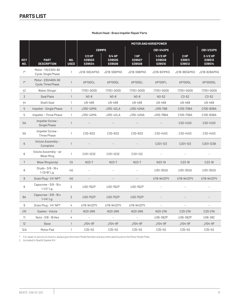#### **Medium Head - Brass Impeller Repair Parts**

|                          |                                             |                           | <b>MOTOR AND HORSEPOWER</b>  |                                   |                          |                                |                         |                              |
|--------------------------|---------------------------------------------|---------------------------|------------------------------|-----------------------------------|--------------------------|--------------------------------|-------------------------|------------------------------|
|                          |                                             |                           | <b>CB1MPS</b>                |                                   | CB1-1/4XPS               |                                |                         | <b>CB1-1/2XPS</b>            |
| <b>KEY</b><br><b>NO.</b> | <b>PART</b><br><b>DESCRIPTION</b>           | <b>NO.</b><br><b>USED</b> | $1/2$ HP<br>S39503<br>S39504 | 3/4 HP<br>S39505<br><b>S39506</b> | 1HP<br>S39507<br>S39508  | $1-1/2$ HP<br>S39509<br>S39510 | 2HP<br>S39511<br>S39512 | 2-1/2 HP<br>S39513<br>S39514 |
| $1*$                     | Motor-115/230V, 60<br>Cycle, Single Phase   | $\mathbf{1}$              | J218-582APKG                 | J218-590PKG                       | J218-596PKG              | J218-601PKG                    | J218-883APKG            | J218-628APKG                 |
| $1^*$                    | Motor-230/460V, 60<br>Cycle, Three Phase    | $\mathbf{1}$              | AP100CL                      | AP100DL                           | AP100EL                  | AP100FL                        | AP100GL                 | AP100G5L                     |
| $+2$                     | Water Slinger                               | 1                         | 17351-0009                   | 17351-0009                        | 17351-0009               | 17351-0009                     | 17351-0009              | 17351-0009                   |
| 3                        | Seal Plate                                  | $\mathbf{1}$              | $N3-8$                       | $N3-8$                            | $N3-8$                   | $N3 - 52$                      | $C3 - 52$               | $C3-52$                      |
| $+4$                     | Shaft Seal                                  | 1                         | U9-469                       | U9-469                            | U9-469                   | U9-469                         | U9-469                  | U9-469                       |
| 5                        | Impeller - Single Phase                     | $\mathbf{1}$              | J105-42MA                    | J105-42LA                         | J105-42NA                | J105-79B                       | C105-73BA               | C105-80BA                    |
| 5                        | Impeller - Three Phase                      | $\mathbf{1}$              | J105-42MA                    | J105-42LA                         | J105-42NA                | J105-79BA                      | C105-73BA               | C105-80BA                    |
| <b>5A</b>                | Impeller Screw-<br>Single Phase             | $\mathbf{1}$              |                              |                                   |                          |                                | C30-14SS                | C30-14SS                     |
| 5Α                       | Impeller Screw-<br><b>Three Phase</b>       | $\mathbf{1}$              | C30-6SS                      | C30-6SS                           | C30-6SS                  | C30-14SS                       | C30-14SS                | C30-14SS                     |
| $6\phantom{1}$           | Volute Assembly -<br>Complete               | $\mathbf{1}$              |                              |                                   |                          | C201-123                       | C201-123                | C201-123B                    |
| 6                        | Volute Assembly - w/<br>Wear Ring           | $\mathbf{1}$              | C101-122E                    | C101-122E                         | C101-122                 |                                |                         |                              |
| $\overline{7}$           | Wear Ring (only)                            | (1)                       | $N23-7$                      | $N23-7$                           | $N23-7$                  | N23-19                         | C23-19                  | C23-19                       |
| 8                        | Studs - $3/8$ - $16x$<br>1-13/16" Lg.       | (4)                       |                              |                                   |                          | U30-35SS                       | U30-35SS                | U30-35SS                     |
| $\boldsymbol{9}$         | Drain Plug - 1/4" NPT                       | (4)                       |                              |                                   |                          | U78-941ZPV                     | U78-941ZPV              | U78-941ZPV                   |
| 8                        | Capscrew $-3/8 - 16x$<br>$1 - 1/2"$ Lg.     | $\overline{2}$            | U30-76ZP                     | U30-76ZP                          | U30-76ZP                 | $\overline{a}$                 |                         |                              |
| 8A                       | Capscrew - $3/8$ - $16x$<br>$1 - 1/4''$ Lg. | $\overline{2}$            | U30-75ZP                     | U30-75ZP                          | U30-75ZP                 |                                |                         |                              |
| 9                        | Drain Plug - 1/4" NPT                       | 4                         | U78-941ZPV                   | U78-941ZPV                        | U78-941ZPV               | $\overline{\phantom{a}}$       | $\blacksquare$          | $\qquad \qquad -$            |
| $+10$                    | Gasket - Volute                             | $\mathbf{1}$              | N20-26N                      | N20-26N                           | N20-26N                  | N20-21N                        | C20-21N                 | C20-21N                      |
| 11                       | Nuts - 3/8 - 16 Hex                         | 4                         | $\bar{ }$                    | $\frac{1}{2}$                     | $\overline{\phantom{a}}$ | U36-38ZP                       | U36-38ZP                | U36-38C                      |
| 12                       | <b>Base</b>                                 | $\mathbf{1}$              | J104-9F                      | J104-9F                           | J104-9F                  | J104-9F                        | J104-9F                 | J104-9F                      |
| 12A                      | Motor Pad                                   | $\mathbf{1}$              | C35-5S                       | C35-5S                            | C35-5S                   | C35-5S                         | C35-5S                  | C35-5S                       |

\* For repair or service to motors, always give the motor Model Number and any other data found on the Motor Model Plate.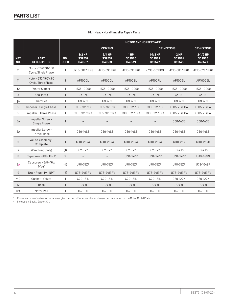|                          |                                           |                           | <b>MOTOR AND HORSEPOWER</b>  |                            |                         |                                |                         |                              |
|--------------------------|-------------------------------------------|---------------------------|------------------------------|----------------------------|-------------------------|--------------------------------|-------------------------|------------------------------|
|                          |                                           |                           |                              | <b>CP1XPHS</b>             |                         |                                | CP1-1/4TPHS             | CP1-1/2TPHS                  |
| <b>KEY</b><br><b>NO.</b> | <b>PART</b><br><b>DESCRIPTION</b>         | <b>NO.</b><br><b>USED</b> | $1/2$ HP<br>S39516<br>S39517 | 3/4 HP<br>S39518<br>S39519 | 1HP<br>S39520<br>S39521 | $1-1/2$ HP<br>S39522<br>S39523 | 2HP<br>S39524<br>S39525 | 2-1/2 HP<br>S39526<br>S39527 |
| $1*$                     | Motor-115/230V, 60<br>Cycle, Single Phase | 1                         | J218-582APKG                 | J218-590PKG                | J218-596PKG             | J218-601PKG                    | J218-883APKG            | J218-628APKG                 |
| $1*$                     | Motor-230/460V, 60<br>Cycle, Three Phase  | 1                         | AP100CL                      | AP100DL                    | AP100EL                 | AP100FL                        | AP100GL                 | AP100G5L                     |
| $+2$                     | Water Slinger                             | 1                         | 17351-0009                   | 17351-0009                 | 17351-0009              | 17351-0009                     | 17351-0009              | 17351-0009                   |
| 3                        | Seal Plate                                | $\mathbf{1}$              | C3-178                       | C3-178                     | $C3-178$                | $C3 - 178$                     | $C3 - 181$              | $C3 - 181$                   |
| $+4$                     | Shaft Seal                                | 1                         | U9-469                       | U9-469                     | U9-469                  | U9-469                         | U9-469                  | U9-469                       |
| 5                        | Impeller - Single Phase                   | $\mathbf{1}$              | C105-92PNX                   | C105-92PMX                 | C105-92PLX              | C105-92PBX                     | C105-214PCA             | C105-214PA                   |
| 5                        | Impeller - Three Phase                    | 1                         | C105-92PNXA                  | C105-92PMXA                | C105-92PLXA             | C105-92PBXA                    | C105-214PCA             | C105-214PA                   |
| 5A                       | Impeller Screw-<br>Single Phase           | $\mathbf{1}$              |                              |                            |                         |                                | C30-14SS                | C30-14SS                     |
| 5A                       | Impeller Screw-<br>Three Phase            | 1                         | C30-14SS                     | C30-14SS                   | C30-14SS                | C30-14SS                       | C30-14SS                | C30-14SS                     |
| 6                        | Volute Assembly-<br>Complete              | $\mathbf{1}$              | C101-284A                    | C101-284A                  | C101-284A               | C101-284A                      | C101-264                | C101-264B                    |
| 7                        | Wear Ring (only)                          | (1)                       | C23-27                       | C23-27                     | $C23-27$                | C23-27                         | C23-19                  | C23-19                       |
| 8                        | Capscrew - $3/8$ - $16 \times 1$ "        | 2                         |                              |                            | U30-74ZP                | U30-74ZP                       | U30-74ZP                | U30-99SS                     |
| 8A                       | Capscrew - $3/8$ - $16x$<br>$1 - 1/4''$   | (4)                       | U78-75ZP                     | U78-75ZP                   | U78-75ZP                | U78-75ZP                       | U78-75ZP                | U78-104ZP                    |
| 9                        | Drain Plug - 1/4" NPT                     | (3)                       | U78-941ZPV                   | U78-941ZPV                 | U78-941ZPV              | U78-941ZPV                     | U78-941ZPV              | U78-941ZPV                   |
| $\dagger$ 10             | Gasket - Volute                           | 1                         | C20-121N                     | C20-121N                   | C20-121N                | C20-121N                       | C20-122N                | C20-122N                     |
| 12                       | <b>Base</b>                               | $\mathbf{1}$              | J104-9F                      | J104-9F                    | J104-9F                 | J104-9F                        | J104-9F                 | J104-9F                      |
| 12A                      | Motor Pad                                 | 1                         | C35-5S                       | C35-5S                     | C35-5S                  | C35-5S                         | C35-5S                  | C35-5S                       |

#### **High Head - Noryl® Impeller Repair Parts**

\* For repair or service to motors, always give the motor Model Number and any other data found on the Motor Model Plate.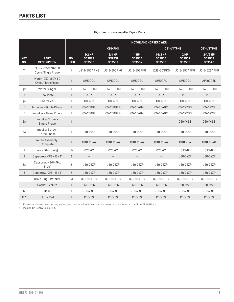| High Head - Brass Impeller Repair Parts |  |  |  |  |
|-----------------------------------------|--|--|--|--|
|-----------------------------------------|--|--|--|--|

|                   |                                           |                           | <b>MOTOR AND HORSEPOWER</b>         |                            |                         |                                |                            |                                |
|-------------------|-------------------------------------------|---------------------------|-------------------------------------|----------------------------|-------------------------|--------------------------------|----------------------------|--------------------------------|
|                   |                                           |                           |                                     | <b>CB1XPHS</b>             |                         |                                | CB1-1/4TPHS                | CB1-1/2TPHS                    |
| <b>KEY</b><br>NO. | <b>PART</b><br><b>DESCRIPTION</b>         | <b>NO.</b><br><b>USED</b> | $1/2$ HP<br>S39529<br><b>S39530</b> | 3/4 HP<br>S39531<br>S39532 | 1HP<br>S39533<br>S39534 | $1-1/2$ HP<br>S39535<br>S39536 | $2$ HP<br>S39537<br>S39538 | $2-1/2$ HP<br>S39539<br>S39540 |
| $1*$              | Motor-115/230V, 60<br>Cycle, Single Phase | 1                         | J218-582APKG                        | J218-590PKG                | J218-596PKG             | J218-601PKG                    | J218-883APKG               | J218-628APKG                   |
| $1^*$             | Motor-230/460V, 60<br>Cycle, Three Phase  | $\mathbf{1}$              | AP100CL                             | AP100DL                    | AP100EL                 | AP100FL                        | AP100GL                    | AP100G5L                       |
| $+2$              | Water Slinger                             | $\mathbf{1}$              | 17351-0009                          | 17351-0009                 | 17351-0009              | 17351-0009                     | 17351-0009                 | 17351-0009                     |
| 3                 | Seal Plate                                | $\mathbf{1}$              | $C3-178$                            | $C3-178$                   | $C3-178$                | $C3-178$                       | $C3-181$                   | $C3 - 181$                     |
| $+4$              | Shaft Seal                                | $\mathbf{1}$              | U9-469                              | U9-469                     | U9-469                  | U9-469                         | U9-469                     | U9-469                         |
| 5                 | Impeller - Single Phase                   | $\mathbf{1}$              | C5-256BA                            | C5-256BAA                  | C5-254BA                | C5-254BC                       | C5-297BB                   | C5-297B                        |
| 5                 | Impeller - Three Phase                    | $\mathbf{1}$              | C5-256BA                            | C5-256BAA                  | C5-254BA                | C5-254BC                       | C5-297BB                   | C5-297B                        |
| <b>5A</b>         | Impeller Screw-<br>Single Phase           | $\mathbf{1}$              |                                     |                            |                         |                                | C30-14SS                   | C30-14SS                       |
| 5A                | Impeller Screw-<br>Three Phase            | $\mathbf{1}$              | C30-14SS                            | C30-14SS                   | C30-14SS                | C30-14SS                       | C30-14SS                   | C30-14SS                       |
| 6                 | Volute Assembly -<br>Complete             | $\mathbf{1}$              | C101-284A                           | C101-284A                  | C101-284A               | C101-284A                      | C101-264                   | C101-264B                      |
| 7                 | Wear Ring (only)                          | (1)                       | C23-27                              | C23-27                     | $C23-27$                | C23-27                         | C23-19                     | C23-19                         |
| 8                 | Capscrew - $3/8$ - $16 \times 1$ "        | $\overline{2}$            |                                     |                            |                         |                                | U30-74ZP                   | U30-74ZP                       |
| 8A                | Capscrew $-3/8 - 16x$<br>$1 - 1/4"$       | $\overline{2}$            | U30-75ZP                            | U30-75ZP                   | U30-75ZP                | U30-75ZP                       | U30-75ZP                   | U30-75ZP                       |
| 8                 | Capscrew - $3/8$ - $16 \times 1$ "        | $\overline{2}$            | U30-74ZP                            | U30-74ZP                   | U30-74ZP                | U30-74ZP                       | U30-74ZP                   | U30-74ZP                       |
| 9                 | Drain Plug - 1/4" NPT                     | (4)                       | U78-941ZPV                          | U78-941ZPV                 | U78-941ZPV              | U78-941ZPV                     | U78-941ZPV                 | U78-941ZPV                     |
| $\dagger$ 10      | Gasket - Volute                           | $\mathbf{1}$              | C20-121N                            | C20-121N                   | C20-121N                | C20-121N                       | C20-122N                   | C20-122N                       |
| 12                | Base                                      | 1                         | J104-9F                             | J104-9F                    | J104-9F                 | J104-9F                        | J104-9F                    | J104-9F                        |
| 12A               | Motor Pad                                 | $\mathbf{1}$              | C35-5S                              | C35-5S                     | C35-5S                  | C35-5S                         | C35-5S                     | C35-5S                         |

\* For repair or service to motors, always give the motor Model Number and any other data found on the Motor Model Plate.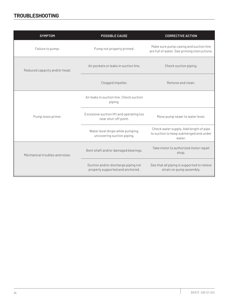# **TROUBLESHOOTING**

| <b>SYMPTOM</b>                 | <b>POSSIBLE CAUSE</b>                                                   | <b>CORRECTIVE ACTION</b>                                                                   |
|--------------------------------|-------------------------------------------------------------------------|--------------------------------------------------------------------------------------------|
| Failure to pump:               | Pump not properly primed.                                               | Make sure pump casing and suction line<br>are full of water. See priming instructions.     |
| Reduced capacity and/or head:  | Air pockets or leaks in suction line.                                   | Check suction piping.                                                                      |
|                                | Clogged impeller.                                                       | Remove and clean.                                                                          |
|                                | Air leaks in suction line. Check suction<br>piping.                     |                                                                                            |
| Pump loses prime:              | Excessive suction lift and operating too<br>near shut-off point.        | Move pump neaer to water level.                                                            |
|                                | Water level drops while pumping,<br>uncovering suction piping.          | Check water supply. Add length of pipe<br>to suction to keep submerged end under<br>water. |
| Mechanical troubles and noise: | Bent shaft and/or damaged bearings.                                     | Take motor to authorized motor repair<br>shop.                                             |
|                                | Suction and/or discharge piping not<br>properly supported and anchored. | See that all piping is supported to relieve<br>strain on pump assembly.                    |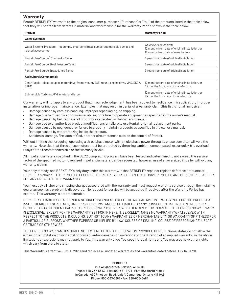# **Warranty**

Pentair BERKELEY® warrants to the original consumer purchaser ("Purchaser" or "You") of the products listed in the table below, that they will be free from defects in material and workmanship for the Warranty Period shown in the table below.

| Product                                                                                                   | <b>Warranty Period</b>                                                                                            |
|-----------------------------------------------------------------------------------------------------------|-------------------------------------------------------------------------------------------------------------------|
| <b>Water Systems:</b>                                                                                     |                                                                                                                   |
| Water Systems Products – jet pumps, small centrifugal pumps, submersible pumps and<br>related accessories | whichever occurs first:<br>12 months from date of original installation, or<br>18 months from date of manufacture |
| Pentair Pro-Source <sup>®</sup> Composite Tanks                                                           | 5 years from date of original installation                                                                        |
| Pentair Pro-Source Steel Pressure Tanks                                                                   | 5 years from date of original installation                                                                        |
| Pentair Pro-Source Epoxy-Lined Tanks                                                                      | 3 years from date of original installation                                                                        |
| <b>Agricultural/Commercial:</b>                                                                           |                                                                                                                   |
| Centrifugals – close-coupled motor drive, frame mount, SAE mount, engine drive, VMS, SSCX,<br><b>SSHM</b> | 12 months from date of original installation, or<br>24 months from date of manufacture                            |
| Submersible Turbines, 6" diameter and larger                                                              | 12 months from date of original installation, or<br>24 months from date of manufacture                            |

Our warranty will not apply to any product that, in our sole judgement, has been subject to negligence, misapplication, improper installation, or improper maintenance. Examples that may result in denial of a warranty claim (this list is not all inclusive):

- Damage caused by careless handling, improper repackaging, or shipping.
- Damage due to misapplication, misuse, abuse, or failure to operate equipment as specified in the owner's manual.
- Damage caused by failure to install products as specified in the owner's manual.
- Damage due to unauthorized product modifications or failure to use Pentair original replacement parts.
- Damage caused by negligence, or failure to properly maintain products as specified in the owner's manual.
- Damage caused by water freezing inside the product.
- Accidental damage, fire, acts of God, or other circumstances outside the control of Pentair.

Without limiting the foregoing, operating a three phase motor with single phase power through a phase converter will void the warranty. Note also that three phase motors must be protected by three-leg, ambient compensated, extra-quick trip overload relays of the recommended size or the warranty is void.

All impeller diameters specified in the BEC2 pump sizing program have been tested and determined to not exceed the service factor of the specified motor. Oversized impeller diameters can be requested, however, use of an oversized impeller will void any warranty claims.

Your only remedy, and BERKELEY's only duty under this warranty, is that BERKELEY repair or replace defective products (at BERKELEY's choice). THE REMEDIES DESCRIBED HERE ARE YOUR SOLE AND EXCLUSIVE REMEDIES AND OUR ENTIRE LIABILITY FOR ANY BREACH OF THIS WARRANTY.

You must pay all labor and shipping charges associated with the warranty and must request warranty service through the installing dealer as soon as a problem is discovered. No request for service will be accepted if received after the Warranty Period has expired. This warranty is not transferable.

BERKELEY'S LIABILITY SHALL UNDER NO CIRCUMSTANCES EXCEED THE ACTUAL AMOUNT PAID BY YOU FOR THE PRODUCT AT ISSUE. BERKELEY SHALL NOT, UNDER ANY CIRCUMSTANCES, BE LIABLE FOR ANY CONSEQUENTIAL, INCIDENTAL, SPECIAL, PUNITIVE, OR CONTINGENT DAMAGES OR LOSSES WHATSOEVER, WHETHER DIRECT OR INDIRECT. THE FOREGOING WARRANTY IS EXCLUSIVE. EXCEPT FOR THE WARRANTY SET FORTH HEREIN, BERKELEY MAKES NO WARRANTY WHATSOEVER WITH RESPECT TO THE PRODUCTS, INCLUDING, BUT NOT TO ANY WARRANTIES OF MERCHANTABILITY OR WARRANTY OF FITNESS FOR A PARTICULAR PURPOSE, WHETHER EXPRESS OR IMPLIED BY LAW, COURSE OF DEALING, COURSE OF PERFORMANCE, USAGE OF TRADE OR OTHERWISE.

THE FOREGOING WARRANTIES SHALL NOT EXTEND BEYOND THE DURATION PROVIDED HEREIN. Some states do not allow the exclusion or limitation of incidental or consequential damages or limitations on the duration of an implied warranty, so the above limitations or exclusions may not apply to You. This warranty gives You specific legal rights and You may also have other rights which vary from state to state.

This Warranty is effective July 14, 2020 and replaces all undated warranties and warranties dated before July 14, 2020.

#### **BERKELEY**

293 Wright Street, Delavan, WI 53115 Phone: 888-237-5353 • Fax: 800-321-8793 • Pentair.com/Berkeley In Canada: 490 Pinebush Road, Unit 4, Cambridge, Ontario N1T 0A5 Phone: 800-363-7867 • Fax: 888-606-5484